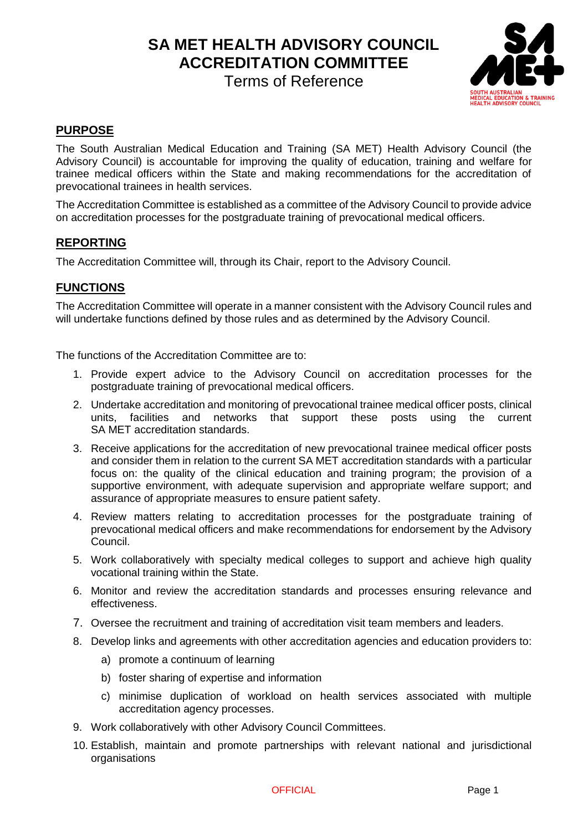**SA MET HEALTH ADVISORY COUNCIL ACCREDITATION COMMITTEE**

Terms of Reference



# **PURPOSE**

The South Australian Medical Education and Training (SA MET) Health Advisory Council (the Advisory Council) is accountable for improving the quality of education, training and welfare for trainee medical officers within the State and making recommendations for the accreditation of prevocational trainees in health services.

The Accreditation Committee is established as a committee of the Advisory Council to provide advice on accreditation processes for the postgraduate training of prevocational medical officers.

## **REPORTING**

The Accreditation Committee will, through its Chair, report to the Advisory Council.

## **FUNCTIONS**

The Accreditation Committee will operate in a manner consistent with the Advisory Council rules and will undertake functions defined by those rules and as determined by the Advisory Council.

The functions of the Accreditation Committee are to:

- 1. Provide expert advice to the Advisory Council on accreditation processes for the postgraduate training of prevocational medical officers.
- 2. Undertake accreditation and monitoring of prevocational trainee medical officer posts, clinical units, facilities and networks that support these posts using the current SA MET accreditation standards.
- 3. Receive applications for the accreditation of new prevocational trainee medical officer posts and consider them in relation to the current SA MET accreditation standards with a particular focus on: the quality of the clinical education and training program; the provision of a supportive environment, with adequate supervision and appropriate welfare support; and assurance of appropriate measures to ensure patient safety.
- 4. Review matters relating to accreditation processes for the postgraduate training of prevocational medical officers and make recommendations for endorsement by the Advisory Council.
- 5. Work collaboratively with specialty medical colleges to support and achieve high quality vocational training within the State.
- 6. Monitor and review the accreditation standards and processes ensuring relevance and effectiveness.
- 7. Oversee the recruitment and training of accreditation visit team members and leaders.
- 8. Develop links and agreements with other accreditation agencies and education providers to:
	- a) promote a continuum of learning
	- b) foster sharing of expertise and information
	- c) minimise duplication of workload on health services associated with multiple accreditation agency processes.
- 9. Work collaboratively with other Advisory Council Committees.
- 10. Establish, maintain and promote partnerships with relevant national and jurisdictional organisations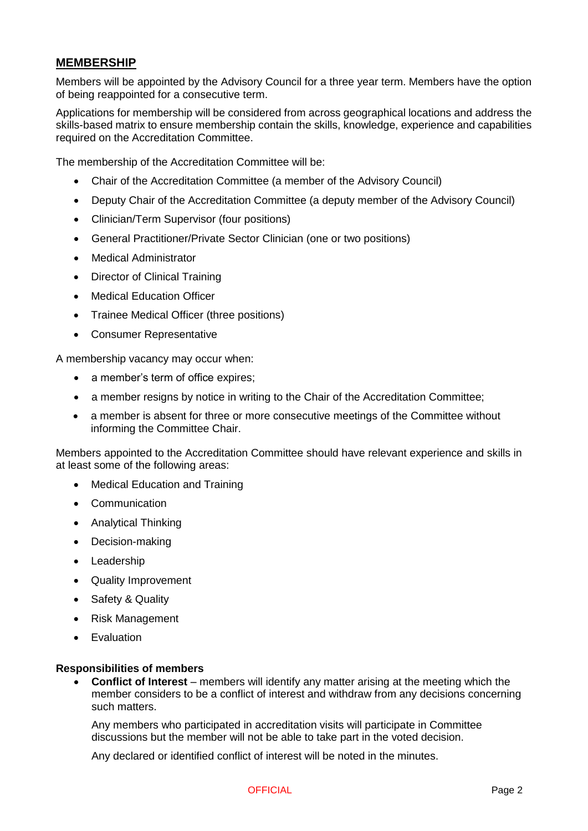## **MEMBERSHIP**

Members will be appointed by the Advisory Council for a three year term. Members have the option of being reappointed for a consecutive term.

Applications for membership will be considered from across geographical locations and address the skills-based matrix to ensure membership contain the skills, knowledge, experience and capabilities required on the Accreditation Committee.

The membership of the Accreditation Committee will be:

- Chair of the Accreditation Committee (a member of the Advisory Council)
- Deputy Chair of the Accreditation Committee (a deputy member of the Advisory Council)
- Clinician/Term Supervisor (four positions)
- General Practitioner/Private Sector Clinician (one or two positions)
- Medical Administrator
- Director of Clinical Training
- Medical Education Officer
- Trainee Medical Officer (three positions)
- Consumer Representative

A membership vacancy may occur when:

- a member's term of office expires;
- a member resigns by notice in writing to the Chair of the Accreditation Committee;
- a member is absent for three or more consecutive meetings of the Committee without informing the Committee Chair.

Members appointed to the Accreditation Committee should have relevant experience and skills in at least some of the following areas:

- Medical Education and Training
- Communication
- Analytical Thinking
- Decision-making
- Leadership
- Quality Improvement
- Safety & Quality
- Risk Management
- Evaluation

#### **Responsibilities of members**

 **Conflict of Interest** – members will identify any matter arising at the meeting which the member considers to be a conflict of interest and withdraw from any decisions concerning such matters.

Any members who participated in accreditation visits will participate in Committee discussions but the member will not be able to take part in the voted decision.

Any declared or identified conflict of interest will be noted in the minutes.

#### OFFICIAL **Page 2**